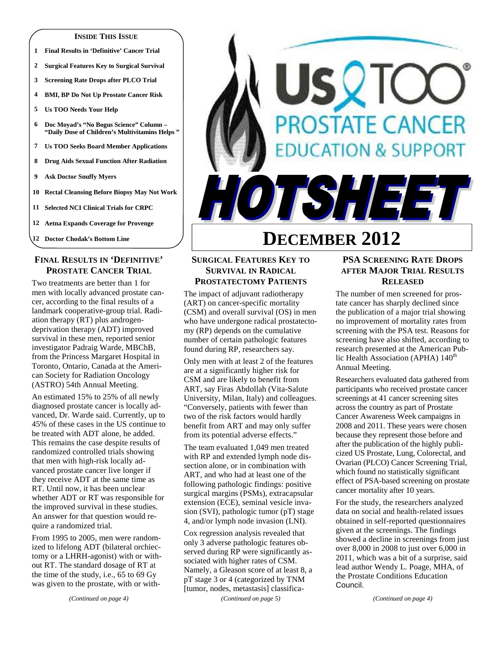#### **INSIDE THIS ISSUE**

- **1 Final Results in 'Definitive' Cancer Trial**
- **2 Surgical Features Key to Surgical Survival**
- **3 Screening Rate Drops after PLCO Trial**
- **4 BMI, BP Do Not Up Prostate Cancer Risk**
- **5 Us TOO Needs Your Help**
- **6 Doc Moyad's "No Bogus Science" Column "Daily Dose of Children's Multivitamins Helps "**
- **7 Us TOO Seeks Board Member Applications**
- **8 Drug Aids Sexual Function After Radiation**
- **9 Ask Doctor Snuffy Myers**
- **10 Rectal Cleansing Before Biopsy May Not Work**
- **11 Selected NCI Clinical Trials for CRPC**
- **12 Aetna Expands Coverage for Provenge**
- **12 Doctor Chodak's Bottom Line**

# **FINAL RESULTS IN 'DEFINITIVE' PROSTATE CANCER TRIAL**

Two treatments are better than 1 for men with locally advanced prostate cancer, according to the final results of a landmark cooperative-group trial. Radiation therapy (RT) plus androgendeprivation therapy (ADT) improved survival in these men, reported senior investigator Padraig Warde, MBChB, from the Princess Margaret Hospital in Toronto, Ontario, Canada at the American Society for Radiation Oncology (ASTRO) 54th Annual Meeting.

An estimated 15% to 25% of all newly diagnosed prostate cancer is locally advanced, Dr. Warde said. Currently, up to 45% of these cases in the US continue to be treated with ADT alone, he added. This remains the case despite results of randomized controlled trials showing that men with high-risk locally advanced prostate cancer live longer if they receive ADT at the same time as RT. Until now, it has been unclear whether ADT or RT was responsible for the improved survival in these studies. An answer for that question would require a randomized trial.

From 1995 to 2005, men were randomized to lifelong ADT (bilateral orchiectomy or a LHRH-agonist) with or without RT. The standard dosage of RT at the time of the study, i.e., 65 to 69 Gy was given to the prostate, with or with-

# SQT **OSTATE CANCER ATION & SUPPORT** TSH 331

# **DECEMBER 2012**

# **SURGICAL FEATURES KEY TO SURVIVAL IN RADICAL PROSTATECTOMY PATIENTS**

The impact of adjuvant radiotherapy (ART) on cancer-specific mortality (CSM) and overall survival (OS) in men who have undergone radical prostatectomy (RP) depends on the cumulative number of certain pathologic features found during RP, researchers say.

Only men with at least 2 of the features are at a significantly higher risk for CSM and are likely to benefit from ART, say Firas Abdollah (Vita-Salute University, Milan, Italy) and colleagues. "Conversely, patients with fewer than two of the risk factors would hardly benefit from ART and may only suffer from its potential adverse effects."

The team evaluated 1,049 men treated with RP and extended lymph node dissection alone, or in combination with ART, and who had at least one of the following pathologic findings: positive surgical margins (PSMs), extracapsular extension (ECE), seminal vesicle invasion (SVI), pathologic tumor (pT) stage 4, and/or lymph node invasion (LNI).

Cox regression analysis revealed that only 3 adverse pathologic features observed during RP were significantly associated with higher rates of CSM. Namely, a Gleason score of at least 8, a pT stage 3 or 4 (categorized by TNM [tumor, nodes, metastasis] classifica-

*(Continued on page 5)* 

# **PSA SCREENING RATE DROPS AFTER MAJOR TRIAL RESULTS RELEASED**

The number of men screened for prostate cancer has sharply declined since the publication of a major trial showing no improvement of mortality rates from screening with the PSA test. Reasons for screening have also shifted, according to research presented at the American Public Health Association (APHA)  $140<sup>th</sup>$ Annual Meeting.

Researchers evaluated data gathered from participants who received prostate cancer screenings at 41 cancer screening sites across the country as part of Prostate Cancer Awareness Week campaigns in 2008 and 2011. These years were chosen because they represent those before and after the publication of the highly publicized US Prostate, Lung, Colorectal, and Ovarian (PLCO) Cancer Screening Trial, which found no statistically significant effect of PSA-based screening on prostate cancer mortality after 10 years.

For the study, the researchers analyzed data on social and health-related issues obtained in self-reported questionnaires given at the screenings. The findings showed a decline in screenings from just over 8,000 in 2008 to just over 6,000 in 2011, which was a bit of a surprise, said lead author Wendy L. Poage, MHA, of the Prostate Conditions Education Council.

*(Continued on page 4)*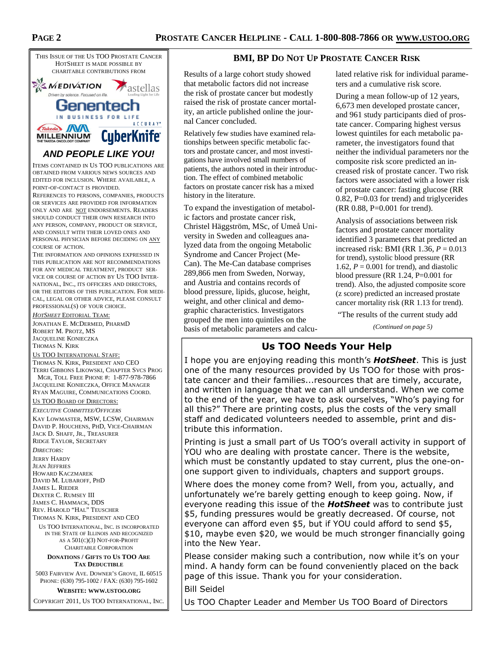

ITEMS CONTAINED IN US TOO PUBLICATIONS ARE

OBTAINED FROM VARIOUS NEWS SOURCES AND EDITED FOR INCLUSION. WHERE AVAILABLE, A POINT-OF-CONTACT IS PROVIDED.

REFERENCES TO PERSONS, COMPANIES, PRODUCTS OR SERVICES ARE PROVIDED FOR INFORMATION ONLY AND ARE NOT ENDORSEMENTS. READERS SHOULD CONDUCT THEIR OWN RESEARCH INTO ANY PERSON, COMPANY, PRODUCT OR SERVICE, AND CONSULT WITH THEIR LOVED ONES AND PERSONAL PHYSICIAN BEFORE DECIDING ON ANY COURSE OF ACTION.

THE INFORMATION AND OPINIONS EXPRESSED IN THIS PUBLICATION ARE NOT RECOMMENDATIONS FOR ANY MEDICAL TREATMENT, PRODUCT SER-VICE OR COURSE OF ACTION BY US TOO INTER-NATIONAL, INC., ITS OFFICERS AND DIRECTORS, OR THE EDITORS OF THIS PUBLICATION. FOR MEDI-CAL, LEGAL OR OTHER ADVICE, PLEASE CONSULT PROFESSIONAL(S) OF YOUR CHOICE.

*HOTSHEET* EDITORIAL TEAM:

JONATHAN E. MCDERMED, PHARMD ROBERT M. PROTZ, MS JACQUELINE KONIECZKA THOMAS N. KIRK

#### US TOO INTERNATIONAL STAFF:

THOMAS N. KIRK, PRESIDENT AND CEO TERRI GIBBONS LIKOWSKI, CHAPTER SVCS PROG MGR, TOLL FREE PHONE #: 1-877-978-7866 JACQUELINE KONIECZKA, OFFICE MANAGER RYAN MAGUIRE, COMMUNICATIONS COORD.

#### US TOO BOARD OF DIRECTORS:

*EXECUTIVE COMMITTEE/OFFICERS*

KAY LOWMASTER, MSW, LCSW, CHAIRMAN DAVID P. HOUCHENS, PHD, VICE-CHAIRMAN JACK D. SHAFF, JR., TREASURER RIDGE TAYLOR, SECRETARY

*DIRECTORS:* 

JERRY HARDY JEAN JEFFRIES HOWARD KACZMAREK DAVID M. LUBAROFF, PHD JAMES L. RIEDER DEXTER C. RUMSEY III JAMES C. HAMMACK, DDS REV. HAROLD "HAL" TEUSCHER

THOMAS N. KIRK, PRESIDENT AND CEO

US TOO INTERNATIONAL, INC. IS INCORPORATED IN THE STATE OF ILLINOIS AND RECOGNIZED AS A 501(C)(3) NOT-FOR-PROFIT CHARITABLE CORPORATION

#### **DONATIONS / GIFTS TO US TOO ARE TAX DEDUCTIBLE**

5003 FAIRVIEW AVE. DOWNER'S GROVE, IL 60515 PHONE: (630) 795-1002 / FAX: (630) 795-1602

**WEBSITE: WWW.USTOO.ORG**

COPYRIGHT 2011, US TOO INTERNATIONAL, INC.

## **BMI, BP DO NOT UP PROSTATE CANCER RISK**

Results of a large cohort study showed that metabolic factors did not increase the risk of prostate cancer but modestly raised the risk of prostate cancer mortality, an article published online the journal Cancer concluded.

Relatively few studies have examined relationships between specific metabolic factors and prostate cancer, and most investigations have involved small numbers of patients, the authors noted in their introduction. The effect of combined metabolic factors on prostate cancer risk has a mixed history in the literature.

To expand the investigation of metabolic factors and prostate cancer risk, Christel Häggström, MSc, of Umeå University in Sweden and colleagues analyzed data from the ongoing Metabolic Syndrome and Cancer Project (Me-Can). The Me-Can database comprises 289,866 men from Sweden, Norway, and Austria and contains records of blood pressure, lipids, glucose, height, weight, and other clinical and demographic characteristics. Investigators grouped the men into quintiles on the basis of metabolic parameters and calcu-

lated relative risk for individual parameters and a cumulative risk score.

During a mean follow-up of 12 years, 6,673 men developed prostate cancer, and 961 study participants died of prostate cancer. Comparing highest versus lowest quintiles for each metabolic parameter, the investigators found that neither the individual parameters nor the composite risk score predicted an increased risk of prostate cancer. Two risk factors were associated with a lower risk of prostate cancer: fasting glucose (RR 0.82, P=0.03 for trend) and triglycerides (RR 0.88, P=0.001 for trend).

Analysis of associations between risk factors and prostate cancer mortality identified 3 parameters that predicted an increased risk: BMI (RR 1.36, *P* = 0.013 for trend), systolic blood pressure (RR 1.62,  $P = 0.001$  for trend), and diastolic blood pressure (RR 1.24, P=0.001 for trend). Also, the adjusted composite score (z score) predicted an increased prostate cancer mortality risk (RR 1.13 for trend).

"The results of the current study add

*(Continued on page 5)* 

# **Us TOO Needs Your Help**

I hope you are enjoying reading this month's *HotSheet*. This is just one of the many resources provided by Us TOO for those with prostate cancer and their families...resources that are timely, accurate, and written in language that we can all understand. When we come to the end of the year, we have to ask ourselves, "Who's paying for all this?" There are printing costs, plus the costs of the very small staff and dedicated volunteers needed to assemble, print and distribute this information.

Printing is just a small part of Us TOO's overall activity in support of YOU who are dealing with prostate cancer. There is the website, which must be constantly updated to stay current, plus the one-onone support given to individuals, chapters and support groups.

Where does the money come from? Well, from you, actually, and unfortunately we're barely getting enough to keep going. Now, if everyone reading this issue of the *HotSheet* was to contribute just \$5, funding pressures would be greatly decreased. Of course, not everyone can afford even \$5, but if YOU could afford to send \$5, \$10, maybe even \$20, we would be much stronger financially going into the New Year.

Please consider making such a contribution, now while it's on your mind. A handy form can be found conveniently placed on the back page of this issue. Thank you for your consideration.

Bill Seidel

Us TOO Chapter Leader and Member Us TOO Board of Directors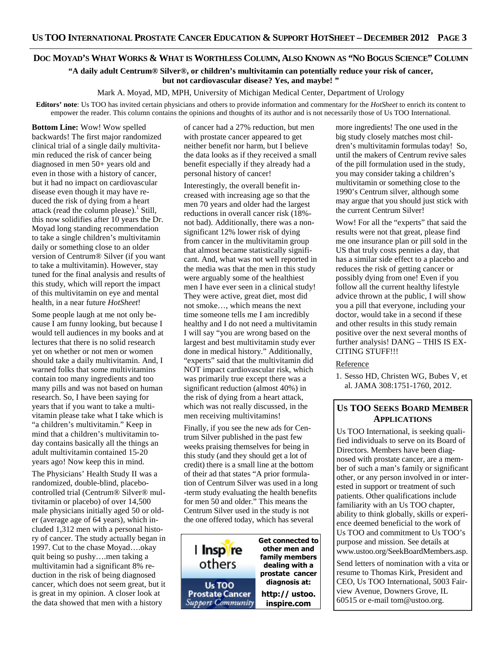# DOC MOYAD'S WHAT WORKS & WHAT IS WORTHLESS COLUMN, ALSO KNOWN AS "NO BOGUS SCIENCE" COLUMN

**"A daily adult Centrum® Silver®, or children's multivitamin can potentially reduce your risk of cancer, but not cardiovascular disease? Yes, and maybe! "** 

Mark A. Moyad, MD, MPH, University of Michigan Medical Center, Department of Urology

**Editors' note**: Us TOO has invited certain physicians and others to provide information and commentary for the *HotSheet* to enrich its content to empower the reader. This column contains the opinions and thoughts of its author and is not necessarily those of Us TOO International.

**Bottom Line:** Wow! Wow spelled backwards! The first major randomized clinical trial of a single daily multivitamin reduced the risk of cancer being diagnosed in men 50+ years old and even in those with a history of cancer, but it had no impact on cardiovascular disease even though it may have reduced the risk of dying from a heart attack (read the column please). $<sup>1</sup>$  Still,</sup> this now solidifies after 10 years the Dr. Moyad long standing recommendation to take a single children's multivitamin daily or something close to an older version of Centrum® Silver (if you want to take a multivitamin). However, stay tuned for the final analysis and results of this study, which will report the impact of this multivitamin on eye and mental health, in a near future *HotSheet*!

Some people laugh at me not only because I am funny looking, but because I would tell audiences in my books and at lectures that there is no solid research yet on whether or not men or women should take a daily multivitamin. And, I warned folks that some multivitamins contain too many ingredients and too many pills and was not based on human research. So, I have been saying for years that if you want to take a multivitamin please take what I take which is "a children's multivitamin." Keep in mind that a children's multivitamin today contains basically all the things an adult multivitamin contained 15-20 years ago! Now keep this in mind.

The Physicians' Health Study II was a randomized, double-blind, placebocontrolled trial (Centrum® Silver® multivitamin or placebo) of over 14,500 male physicians initially aged 50 or older (average age of 64 years), which included 1,312 men with a personal history of cancer. The study actually began in 1997. Cut to the chase Moyad….okay quit being so pushy….men taking a multivitamin had a significant 8% reduction in the risk of being diagnosed cancer, which does not seem great, but it is great in my opinion. A closer look at the data showed that men with a history

of cancer had a 27% reduction, but men with prostate cancer appeared to get neither benefit nor harm, but I believe the data looks as if they received a small benefit especially if they already had a personal history of cancer!

Interestingly, the overall benefit increased with increasing age so that the men 70 years and older had the largest reductions in overall cancer risk (18% not bad). Additionally, there was a nonsignificant 12% lower risk of dying from cancer in the multivitamin group that almost became statistically significant. And, what was not well reported in the media was that the men in this study were arguably some of the healthiest men I have ever seen in a clinical study! They were active, great diet, most did not smoke…, which means the next time someone tells me I am incredibly healthy and I do not need a multivitamin I will say "you are wrong based on the largest and best multivitamin study ever done in medical history." Additionally, "experts" said that the multivitamin did NOT impact cardiovascular risk, which was primarily true except there was a significant reduction (almost 40%) in the risk of dying from a heart attack, which was not really discussed, in the men receiving multivitamins!

Finally, if you see the new ads for Centrum Silver published in the past few weeks praising themselves for being in this study (and they should get a lot of credit) there is a small line at the bottom of their ad that states "A prior formulation of Centrum Silver was used in a long -term study evaluating the health benefits for men 50 and older." This means the Centrum Silver used in the study is not the one offered today, which has several



more ingredients! The one used in the big study closely matches most children's multivitamin formulas today! So, until the makers of Centrum revive sales of the pill formulation used in the study, you may consider taking a children's multivitamin or something close to the 1990's Centrum silver, although some may argue that you should just stick with the current Centrum Silver!

Wow! For all the "experts" that said the results were not that great, please find me one insurance plan or pill sold in the US that truly costs pennies a day, that has a similar side effect to a placebo and reduces the risk of getting cancer or possibly dying from one! Even if you follow all the current healthy lifestyle advice thrown at the public, I will show you a pill that everyone, including your doctor, would take in a second if these and other results in this study remain positive over the next several months of further analysis! DANG – THIS IS EX-CITING STUFF!!!

# Reference

1. Sesso HD, Christen WG, Bubes V, et al. JAMA 308:1751-1760, 2012.

# **US TOO SEEKS BOARD MEMBER APPLICATIONS**

Us TOO International, is seeking qualified individuals to serve on its Board of Directors. Members have been diagnosed with prostate cancer, are a member of such a man's family or significant other, or any person involved in or interested in support or treatment of such patients. Other qualifications include familiarity with an Us TOO chapter, ability to think globally, skills or experience deemed beneficial to the work of Us TOO and commitment to Us TOO's purpose and mission. See details at www.ustoo.org/SeekBoardMembers.asp.

Send letters of nomination with a vita or resume to Thomas Kirk, President and CEO, Us TOO International, 5003 Fairview Avenue, Downers Grove, IL 60515 or e-mail tom@ustoo.org.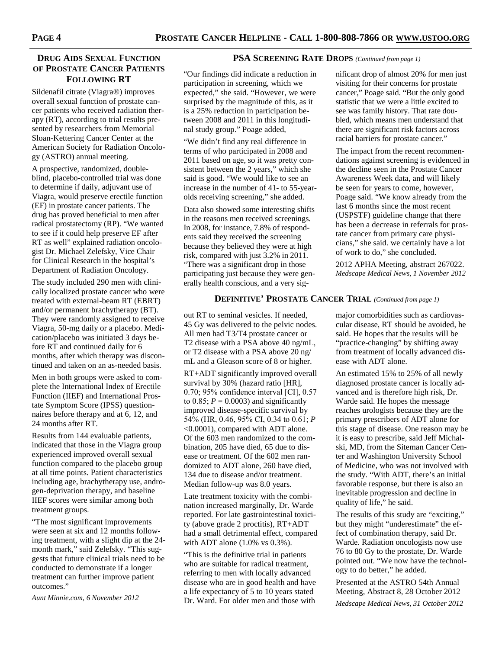# **DRUG AIDS SEXUAL FUNCTION OF PROSTATE CANCER PATIENTS FOLLOWING RT**

Sildenafil citrate (Viagra®) improves overall sexual function of prostate cancer patients who received radiation therapy (RT), according to trial results presented by researchers from Memorial Sloan-Kettering Cancer Center at the American Society for Radiation Oncology (ASTRO) annual meeting.

A prospective, randomized, doubleblind, placebo-controlled trial was done to determine if daily, adjuvant use of Viagra, would preserve erectile function (EF) in prostate cancer patients. The drug has proved beneficial to men after radical prostatectomy (RP). "We wanted to see if it could help preserve EF after RT as well" explained radiation oncologist Dr. Michael Zelefsky, Vice Chair for Clinical Research in the hospital's Department of Radiation Oncology.

The study included 290 men with clinically localized prostate cancer who were treated with external-beam RT (EBRT) and/or permanent brachytherapy (BT). They were randomly assigned to receive Viagra, 50-mg daily or a placebo. Medication/placebo was initiated 3 days before RT and continued daily for 6 months, after which therapy was discontinued and taken on an as-needed basis.

Men in both groups were asked to complete the International Index of Erectile Function (IIEF) and International Prostate Symptom Score (IPSS) questionnaires before therapy and at 6, 12, and 24 months after RT.

Results from 144 evaluable patients, indicated that those in the Viagra group experienced improved overall sexual function compared to the placebo group at all time points. Patient characteristics including age, brachytherapy use, androgen-deprivation therapy, and baseline IIEF scores were similar among both treatment groups.

"The most significant improvements were seen at six and 12 months following treatment, with a slight dip at the 24 month mark," said Zelefsky. "This suggests that future clinical trials need to be conducted to demonstrate if a longer treatment can further improve patient outcomes."

*Aunt Minnie.com, 6 November 2012* 

# **PSA SCREENING RATE DROPS** *(Continued from page 1)*

"Our findings did indicate a reduction in participation in screening, which we expected," she said. "However, we were surprised by the magnitude of this, as it is a 25% reduction in participation between 2008 and 2011 in this longitudinal study group." Poage added,

"We didn't find any real difference in terms of who participated in 2008 and 2011 based on age, so it was pretty consistent between the 2 years," which she said is good. "We would like to see an increase in the number of 41- to 55-yearolds receiving screening," she added.

Data also showed some interesting shifts in the reasons men received screenings. In 2008, for instance, 7.8% of respondents said they received the screening because they believed they were at high risk, compared with just 3.2% in 2011. "There was a significant drop in those participating just because they were generally health conscious, and a very sig-

nificant drop of almost 20% for men just visiting for their concerns for prostate cancer," Poage said. "But the only good statistic that we were a little excited to see was family history. That rate doubled, which means men understand that there are significant risk factors across racial barriers for prostate cancer."

The impact from the recent recommendations against screening is evidenced in the decline seen in the Prostate Cancer Awareness Week data, and will likely be seen for years to come, however, Poage said. "We know already from the last 6 months since the most recent (USPSTF) guideline change that there has been a decrease in referrals for prostate cancer from primary care physicians," she said. we certainly have a lot of work to do," she concluded.

2012 APHA Meeting, abstract 267022. *Medscape Medical News, 1 November 2012* 

# **DEFINITIVE' PROSTATE CANCER TRIAL** *(Continued from page 1)*

out RT to seminal vesicles. If needed, 45 Gy was delivered to the pelvic nodes. All men had T3/T4 prostate cancer or T2 disease with a PSA above 40 ng/mL, or T2 disease with a PSA above 20 ng/ mL and a Gleason score of 8 or higher.

RT+ADT significantly improved overall survival by 30% (hazard ratio [HR], 0.70; 95% confidence interval [CI], 0.57 to 0.85;  $P = 0.0003$ ) and significantly improved disease-specific survival by 54% (HR, 0.46, 95% CI, 0.34 to 0.61; *P* <0.0001), compared with ADT alone. Of the 603 men randomized to the combination, 205 have died, 65 due to disease or treatment. Of the 602 men randomized to ADT alone, 260 have died, 134 due to disease and/or treatment. Median follow-up was 8.0 years.

Late treatment toxicity with the combination increased marginally, Dr. Warde reported. For late gastrointestinal toxicity (above grade 2 proctitis), RT+ADT had a small detrimental effect, compared with ADT alone (1.0% vs 0.3%).

"This is the definitive trial in patients who are suitable for radical treatment, referring to men with locally advanced disease who are in good health and have a life expectancy of 5 to 10 years stated Dr. Ward. For older men and those with

major comorbidities such as cardiovascular disease, RT should be avoided, he said. He hopes that the results will be "practice-changing" by shifting away from treatment of locally advanced disease with ADT alone.

An estimated 15% to 25% of all newly diagnosed prostate cancer is locally advanced and is therefore high risk, Dr. Warde said. He hopes the message reaches urologists because they are the primary prescribers of ADT alone for this stage of disease. One reason may be it is easy to prescribe, said Jeff Michalski, MD, from the Siteman Cancer Center and Washington University School of Medicine, who was not involved with the study. "With ADT, there's an initial favorable response, but there is also an inevitable progression and decline in quality of life," he said.

The results of this study are "exciting," but they might "underestimate" the effect of combination therapy, said Dr. Warde. Radiation oncologists now use 76 to 80 Gy to the prostate, Dr. Warde pointed out. "We now have the technology to do better," he added.

Presented at the ASTRO 54th Annual Meeting, Abstract 8, 28 October 2012 *Medscape Medical News, 31 October 2012*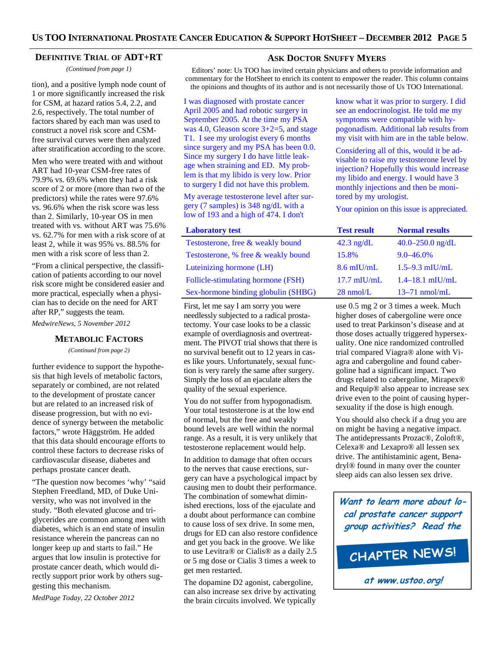#### **DEFINITIVE TRIAL OF ADT+RT**

*(Continued from page 1)* 

1 or more significantly increased the risk for CSM, at hazard ratios 5.4, 2.2, and 2.6, respectively. The total number of factors shared by each man was used to construct a novel risk score and CSMfree survival curves were then analyzed after stratification according to the score.

Men who were treated with and without ART had 10-year CSM-free rates of 79.9% vs. 69.6% when they had a risk score of 2 or more (more than two of the predictors) while the rates were 97.6% vs. 96.6% when the risk score was less than 2. Similarly, 10-year OS in men treated with vs. without ART was 75.6% vs. 62.7% for men with a risk score of at least 2, while it was 95% vs. 88.5% for men with a risk score of less than 2.

"From a clinical perspective, the classification of patients according to our novel risk score might be considered easier and more practical, especially when a physician has to decide on the need for ART after RP," suggests the team.

*MedwireNews, 5 November 2012* 

#### **METABOLIC FACTORS**

*(Continued from page 2)* 

further evidence to support the hypothesis that high levels of metabolic factors, separately or combined, are not related to the development of prostate cancer but are related to an increased risk of disease progression, but with no evidence of synergy between the metabolic factors," wrote Häggström. He added that this data should encourage efforts to control these factors to decrease risks of cardiovascular disease, diabetes and perhaps prostate cancer death.

"The question now becomes 'why' "said Stephen Freedland, MD, of Duke University, who was not involved in the study. "Both elevated glucose and triglycerides are common among men with diabetes, which is an end state of insulin resistance wherein the pancreas can no longer keep up and starts to fail." He argues that low insulin is protective for prostate cancer death, which would directly support prior work by others suggesting this mechanism.

*MedPage Today, 22 October 2012* 

# **ASK DOCTOR SNUFFY MYERS**

Editors' note: Us TOO has invited certain physicians and others to provide information and commentary for the HotSheet to enrich its content to empower the reader. This column contains tion), and a positive lymph node count of the opinions and thoughts of its author and is not necessarily those of Us TOO International.

> I was diagnosed with prostate cancer April 2005 and had robotic surgery in September 2005. At the time my PSA was 4.0, Gleason score 3+2=5, and stage T1. I see my urologist every 6 months since surgery and my PSA has been 0.0. Since my surgery I do have little leakage when straining and ED. My problem is that my libido is very low. Prior to surgery I did not have this problem.

My average testosterone level after surgery (7 samples) is 348 ng/dL with a low of 193 and a high of 474. I don't

#### **Laboratory test**

Testosterone, free & weakly bound Testosterone, % free & weakly bound Luteinizing hormone (LH) Follicle-stimulating hormone (FSH) Sex-hormone binding globulin (SHBG)

First, let me say I am sorry you were needlessly subjected to a radical prostatectomy. Your case looks to be a classic example of overdiagnosis and overtreatment. The PIVOT trial shows that there is no survival benefit out to 12 years in cases like yours. Unfortunately, sexual function is very rarely the same after surgery. Simply the loss of an ejaculate alters the quality of the sexual experience.

You do not suffer from hypogonadism. Your total testosterone is at the low end of normal, but the free and weakly bound levels are well within the normal range. As a result, it is very unlikely that testosterone replacement would help.

In addition to damage that often occurs to the nerves that cause erections, surgery can have a psychological impact by causing men to doubt their performance. The combination of somewhat diminished erections, loss of the ejaculate and a doubt about performance can combine to cause loss of sex drive. In some men, drugs for ED can also restore confidence and get you back in the groove. We like to use Levitra® or Cialis® as a daily 2.5 or 5 mg dose or Cialis 3 times a week to get men restarted.

The dopamine D2 agonist, cabergoline, can also increase sex drive by activating the brain circuits involved. We typically

know what it was prior to surgery. I did see an endocrinologist. He told me my symptoms were compatible with hypogonadism. Additional lab results from my visit with him are in the table below.

Considering all of this, would it be advisable to raise my testosterone level by injection? Hopefully this would increase my libido and energy. I would have 3 monthly injections and then be monitored by my urologist.

Your opinion on this issue is appreciated.

| <b>Test result</b>  | <b>Normal results</b> |  |
|---------------------|-----------------------|--|
| $42.3$ ng/dL        | $40.0 - 250.0$ ng/dL  |  |
| 15.8%               | $9.0 - 46.0\%$        |  |
| $8.6$ mIU/mL        | $1.5 - 9.3$ mIU/mL    |  |
| $17.7$ mIU/mL       | $1.4 - 18.1$ mIU/mL   |  |
| $28 \text{ nmol/L}$ | $13-71$ nmol/mL       |  |

use 0.5 mg 2 or 3 times a week. Much higher doses of cabergoline were once used to treat Parkinson's disease and at those doses actually triggered hypersexuality. One nice randomized controlled trial compared Viagra® alone with Viagra and cabergoline and found cabergoline had a significant impact. Two drugs related to cabergoline, Mirapex® and Requip® also appear to increase sex drive even to the point of causing hypersexuality if the dose is high enough.

You should also check if a drug you are on might be having a negative impact. The antidepressants Prozac®, Zoloft®, Celexa® and Lexapro® all lessen sex drive. The antihistaminic agent, Benadryl® found in many over the counter sleep aids can also lessen sex drive.

**Want to learn more about local prostate cancer support group activities? Read the**



**at www.ustoo.org!**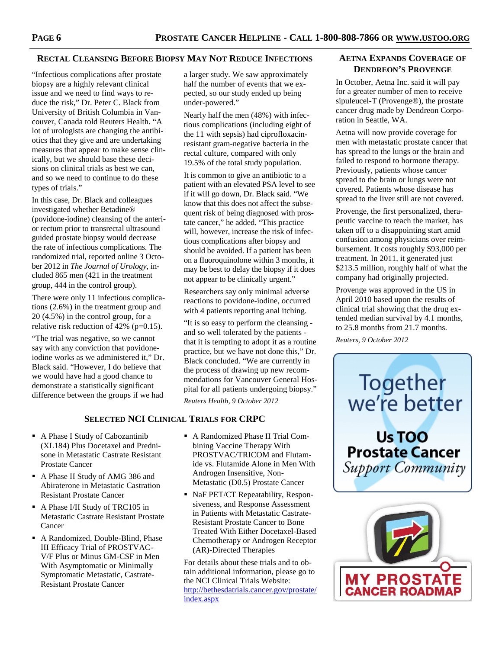# **RECTAL CLEANSING BEFORE BIOPSY MAY NOT REDUCE INFECTIONS**

"Infectious complications after prostate biopsy are a highly relevant clinical issue and we need to find ways to reduce the risk," Dr. Peter C. Black from University of British Columbia in Vancouver, Canada told Reuters Health. "A lot of urologists are changing the antibiotics that they give and are undertaking measures that appear to make sense clinically, but we should base these decisions on clinical trials as best we can, and so we need to continue to do these types of trials."

In this case, Dr. Black and colleagues investigated whether Betadine® (povidone-iodine) cleansing of the anterior rectum prior to transrectal ultrasound guided prostate biopsy would decrease the rate of infectious complications. The randomized trial, reported online 3 October 2012 in *The Journal of Urology*, included 865 men (421 in the treatment group, 444 in the control group).

There were only 11 infectious complications (2.6%) in the treatment group and 20 (4.5%) in the control group, for a relative risk reduction of  $42\%$  (p=0.15).

"The trial was negative, so we cannot say with any conviction that povidoneiodine works as we administered it," Dr. Black said. "However, I do believe that we would have had a good chance to demonstrate a statistically significant difference between the groups if we had

**SELECTED NCI CLINICAL TRIALS FOR CRPC** 

- A Phase I Study of Cabozantinib (XL184) Plus Docetaxel and Prednisone in Metastatic Castrate Resistant Prostate Cancer
- A Phase II Study of AMG 386 and Abiraterone in Metastatic Castration Resistant Prostate Cancer
- A Phase I/II Study of TRC105 in Metastatic Castrate Resistant Prostate Cancer
- A Randomized, Double-Blind, Phase III Efficacy Trial of PROSTVAC-V/F Plus or Minus GM-CSF in Men With Asymptomatic or Minimally Symptomatic Metastatic, Castrate-Resistant Prostate Cancer

a larger study. We saw approximately half the number of events that we expected, so our study ended up being under-powered."

Nearly half the men (48%) with infectious complications (including eight of the 11 with sepsis) had ciprofloxacinresistant gram-negative bacteria in the rectal culture, compared with only 19.5% of the total study population.

It is common to give an antibiotic to a patient with an elevated PSA level to see if it will go down, Dr. Black said. "We know that this does not affect the subsequent risk of being diagnosed with prostate cancer," he added. "This practice will, however, increase the risk of infectious complications after biopsy and should be avoided. If a patient has been on a fluoroquinolone within 3 months, it may be best to delay the biopsy if it does not appear to be clinically urgent."

Researchers say only minimal adverse reactions to povidone-iodine, occurred with 4 patients reporting anal itching.

"It is so easy to perform the cleansing and so well tolerated by the patients that it is tempting to adopt it as a routine practice, but we have not done this," Dr. Black concluded. "We are currently in the process of drawing up new recommendations for Vancouver General Hospital for all patients undergoing biopsy." *Reuters Health, 9 October 2012* 

- A Randomized Phase II Trial Combining Vaccine Therapy With PROSTVAC/TRICOM and Flutamide vs. Flutamide Alone in Men With Androgen Insensitive, Non-Metastatic (D0.5) Prostate Cancer
- NaF PET/CT Repeatability, Responsiveness, and Response Assessment in Patients with Metastatic Castrate-Resistant Prostate Cancer to Bone Treated With Either Docetaxel-Based Chemotherapy or Androgen Receptor (AR)-Directed Therapies

For details about these trials and to obtain additional information, please go to the NCI Clinical Trials Website: http://bethesdatrials.cancer.gov/prostate/ index.aspx

# **AETNA EXPANDS COVERAGE OF DENDREON'S PROVENGE**

In October, Aetna Inc. said it will pay for a greater number of men to receive sipuleucel-T (Provenge®), the prostate cancer drug made by Dendreon Corporation in Seattle, WA.

Aetna will now provide coverage for men with metastatic prostate cancer that has spread to the lungs or the brain and failed to respond to hormone therapy. Previously, patients whose cancer spread to the brain or lungs were not covered. Patients whose disease has spread to the liver still are not covered.

Provenge, the first personalized, therapeutic vaccine to reach the market, has taken off to a disappointing start amid confusion among physicians over reimbursement. It costs roughly \$93,000 per treatment. In 2011, it generated just \$213.5 million, roughly half of what the company had originally projected.

Provenge was approved in the US in April 2010 based upon the results of clinical trial showing that the drug extended median survival by 4.1 months, to 25.8 months from 21.7 months.

*Reuters, 9 October 2012* 



Us TOO **Prostate Cancer** Support Community

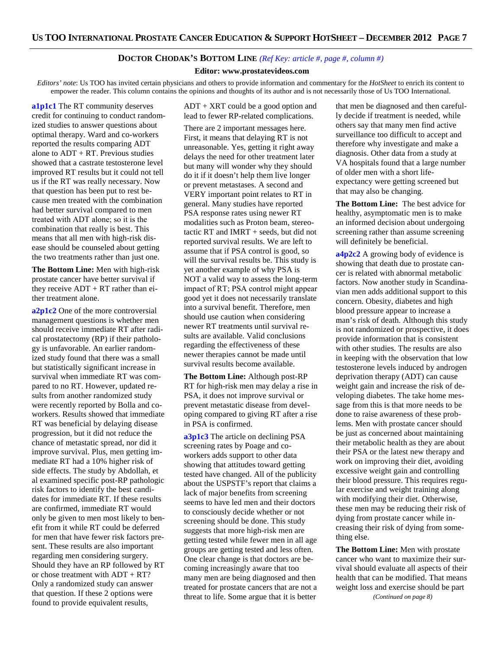# **DOCTOR CHODAK'S BOTTOM LINE** *(Ref Key: article #, page #, column #)*

#### **Editor: www.prostatevideos.com**

*Editors' note*: Us TOO has invited certain physicians and others to provide information and commentary for the *HotSheet* to enrich its content to empower the reader. This column contains the opinions and thoughts of its author and is not necessarily those of Us TOO International.

**a1p1c1** The RT community deserves credit for continuing to conduct randomized studies to answer questions about optimal therapy. Ward and co-workers reported the results comparing ADT alone to ADT + RT. Previous studies showed that a castrate testosterone level improved RT results but it could not tell us if the RT was really necessary. Now that question has been put to rest because men treated with the combination had better survival compared to men treated with ADT alone; so it is the combination that really is best. This means that all men with high-risk disease should be counseled about getting the two treatments rather than just one.

**The Bottom Line:** Men with high-risk prostate cancer have better survival if they receive  $ADT + RT$  rather than either treatment alone.

**a2p1c2** One of the more controversial management questions is whether men should receive immediate RT after radical prostatectomy (RP) if their pathology is unfavorable. An earlier randomized study found that there was a small but statistically significant increase in survival when immediate RT was compared to no RT. However, updated results from another randomized study were recently reported by Bolla and coworkers. Results showed that immediate RT was beneficial by delaying disease progression, but it did not reduce the chance of metastatic spread, nor did it improve survival. Plus, men getting immediate RT had a 10% higher risk of side effects. The study by Abdollah, et al examined specific post-RP pathologic risk factors to identify the best candidates for immediate RT. If these results are confirmed, immediate RT would only be given to men most likely to benefit from it while RT could be deferred for men that have fewer risk factors present. These results are also important regarding men considering surgery. Should they have an RP followed by RT or chose treatment with ADT + RT? Only a randomized study can answer that question. If these 2 options were found to provide equivalent results,

ADT + XRT could be a good option and lead to fewer RP-related complications.

There are 2 important messages here. First, it means that delaying RT is not unreasonable. Yes, getting it right away delays the need for other treatment later but many will wonder why they should do it if it doesn't help them live longer or prevent metastases. A second and VERY important point relates to RT in general. Many studies have reported PSA response rates using newer RT modalities such as Proton beam, stereotactic RT and IMRT + seeds, but did not reported survival results. We are left to assume that if PSA control is good, so will the survival results be. This study is yet another example of why PSA is NOT a valid way to assess the long-term impact of RT; PSA control might appear good yet it does not necessarily translate into a survival benefit. Therefore, men should use caution when considering newer RT treatments until survival results are available. Valid conclusions regarding the effectiveness of these newer therapies cannot be made until survival results become available.

**The Bottom Line:** Although post-RP RT for high-risk men may delay a rise in PSA, it does not improve survival or prevent metastatic disease from developing compared to giving RT after a rise in PSA is confirmed.

**a3p1c3** The article on declining PSA screening rates by Poage and coworkers adds support to other data showing that attitudes toward getting tested have changed. All of the publicity about the USPSTF's report that claims a lack of major benefits from screening seems to have led men and their doctors to consciously decide whether or not screening should be done. This study suggests that more high-risk men are getting tested while fewer men in all age groups are getting tested and less often. One clear change is that doctors are becoming increasingly aware that too many men are being diagnosed and then treated for prostate cancers that are not a threat to life. Some argue that it is better

that men be diagnosed and then carefully decide if treatment is needed, while others say that many men find active surveillance too difficult to accept and therefore why investigate and make a diagnosis. Other data from a study at VA hospitals found that a large number of older men with a short lifeexpectancy were getting screened but that may also be changing.

**The Bottom Line:** The best advice for healthy, asymptomatic men is to make an informed decision about undergoing screening rather than assume screening will definitely be beneficial.

**a4p2c2** A growing body of evidence is showing that death due to prostate cancer is related with abnormal metabolic factors. Now another study in Scandinavian men adds additional support to this concern. Obesity, diabetes and high blood pressure appear to increase a man's risk of death. Although this study is not randomized or prospective, it does provide information that is consistent with other studies. The results are also in keeping with the observation that low testosterone levels induced by androgen deprivation therapy (ADT) can cause weight gain and increase the risk of developing diabetes. The take home message from this is that more needs to be done to raise awareness of these problems. Men with prostate cancer should be just as concerned about maintaining their metabolic health as they are about their PSA or the latest new therapy and work on improving their diet, avoiding excessive weight gain and controlling their blood pressure. This requires regular exercise and weight training along with modifying their diet. Otherwise, these men may be reducing their risk of dying from prostate cancer while increasing their risk of dying from something else.

**The Bottom Line:** Men with prostate cancer who want to maximize their survival should evaluate all aspects of their health that can be modified. That means weight loss and exercise should be part

*(Continued on page 8)*